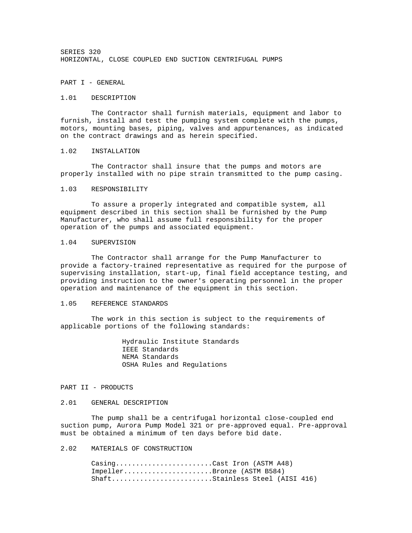SERIES 320 HORIZONTAL, CLOSE COUPLED END SUCTION CENTRIFUGAL PUMPS

PART I - GENERAL

#### 1.01 DESCRIPTION

 The Contractor shall furnish materials, equipment and labor to furnish, install and test the pumping system complete with the pumps, motors, mounting bases, piping, valves and appurtenances, as indicated on the contract drawings and as herein specified.

#### 1.02 INSTALLATION

 The Contractor shall insure that the pumps and motors are properly installed with no pipe strain transmitted to the pump casing.

## 1.03 RESPONSIBILITY

 To assure a properly integrated and compatible system, all equipment described in this section shall be furnished by the Pump Manufacturer, who shall assume full responsibility for the proper operation of the pumps and associated equipment.

### 1.04 SUPERVISION

 The Contractor shall arrange for the Pump Manufacturer to provide a factory-trained representative as required for the purpose of supervising installation, start-up, final field acceptance testing, and providing instruction to the owner's operating personnel in the proper operation and maintenance of the equipment in this section.

### 1.05 REFERENCE STANDARDS

 The work in this section is subject to the requirements of applicable portions of the following standards:

> Hydraulic Institute Standards IEEE Standards NEMA Standards OSHA Rules and Regulations

### PART II - PRODUCTS

#### 2.01 GENERAL DESCRIPTION

 The pump shall be a centrifugal horizontal close-coupled end suction pump, Aurora Pump Model 321 or pre-approved equal. Pre-approval must be obtained a minimum of ten days before bid date.

# 2.02 MATERIALS OF CONSTRUCTION

Casing..........................Cast Iron (ASTM A48) Impeller......................Bronze (ASTM B584) Shaft.........................Stainless Steel (AISI 416)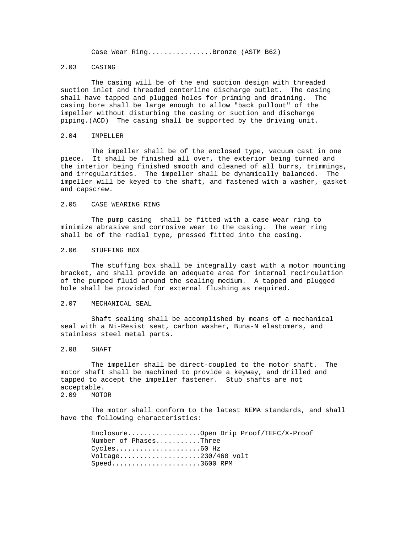Case Wear Ring...............Bronze (ASTM B62)

### 2.03 CASING

 The casing will be of the end suction design with threaded suction inlet and threaded centerline discharge outlet. The casing shall have tapped and plugged holes for priming and draining. The casing bore shall be large enough to allow "back pullout" of the impeller without disturbing the casing or suction and discharge piping.(ACD) The casing shall be supported by the driving unit.

#### 2.04 IMPELLER

 The impeller shall be of the enclosed type, vacuum cast in one piece. It shall be finished all over, the exterior being turned and the interior being finished smooth and cleaned of all burrs, trimmings, and irregularities. The impeller shall be dynamically balanced. The impeller will be keyed to the shaft, and fastened with a washer, gasket and capscrew.

### 2.05 CASE WEARING RING

 The pump casing shall be fitted with a case wear ring to minimize abrasive and corrosive wear to the casing. The wear ring shall be of the radial type, pressed fitted into the casing.

#### 2.06 STUFFING BOX

 The stuffing box shall be integrally cast with a motor mounting bracket, and shall provide an adequate area for internal recirculation of the pumped fluid around the sealing medium. A tapped and plugged hole shall be provided for external flushing as required.

### 2.07 MECHANICAL SEAL

 Shaft sealing shall be accomplished by means of a mechanical seal with a Ni-Resist seat, carbon washer, Buna-N elastomers, and stainless steel metal parts.

## 2.08 SHAFT

 The impeller shall be direct-coupled to the motor shaft. The motor shaft shall be machined to provide a keyway, and drilled and tapped to accept the impeller fastener. Stub shafts are not acceptable. 2.09 MOTOR

 The motor shall conform to the latest NEMA standards, and shall have the following characteristics:

> Enclosure..................Open Drip Proof/TEFC/X-Proof Number of Phases...........Three Cycles.....................60 Hz Voltage....................230/460 volt Speed......................3600 RPM